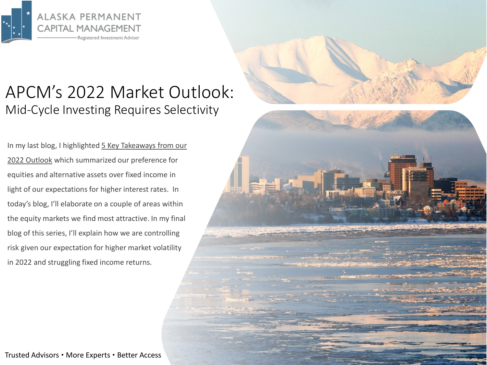

## APCM's 2022 Market Outlook: Mid-Cycle Investing Requires Selectivity

[In my last blog, I highlighted 5 Key Takeaways from our](https://www.apcm.net/wp-content/uploads/2022/01/APCM-2022-Market-Outlook-Part-1-of-3.pdf) 2022 Outlook which summarized our preference for equities and alternative assets over fixed income in light of our expectations for higher interest rates. In today's blog, I'll elaborate on a couple of areas within the equity markets we find most attractive. In my final blog of this series, I'll explain how we are controlling risk given our expectation for higher market volatility in 2022 and struggling fixed income returns.

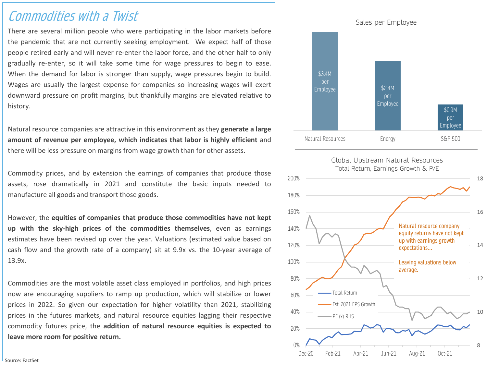## Commodities with a Twist

There are several million people who were participating in the labor markets before the pandemic that are not currently seeking employment. We expect half of those people retired early and will never re-enter the labor force, and the other half to only gradually re-enter, so it will take some time for wage pressures to begin to ease. When the demand for labor is stronger than supply, wage pressures begin to build. Wages are usually the largest expense for companies so increasing wages will exert downward pressure on profit margins, but thankfully margins are elevated relative to history.

Natural resource companies are attractive in this environment as they **generate a large amount of revenue per employee, which indicates that labor is highly efficient** and there will be less pressure on margins from wage growth than for other assets.

Commodity prices, and by extension the earnings of companies that produce those assets, rose dramatically in 2021 and constitute the basic inputs needed to manufacture all goods and transport those goods.

However, the **equities of companies that produce those commodities have not kept up with the sky-high prices of the commodities themselves**, even as earnings estimates have been revised up over the year. Valuations (estimated value based on cash flow and the growth rate of a company) sit at 9.9x vs. the 10-year average of 13.9x.

Commodities are the most volatile asset class employed in portfolios, and high prices now are encouraging suppliers to ramp up production, which will stabilize or lower prices in 2022. So given our expectation for higher volatility than 2021, stabilizing prices in the futures markets, and natural resource equities lagging their respective commodity futures price, the **addition of natural resource equities is expected to leave more room for positive return.**



Dec-20 Feb-21 Apr-21 Jun-21 Aug-21 Oct-21

PE (x) RHS

0%

20%

8

10